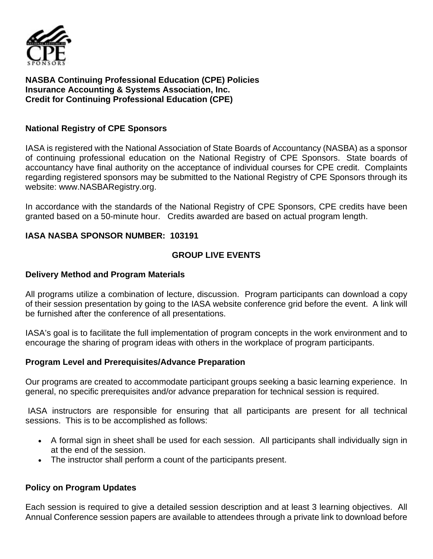

**NASBA Continuing Professional Education (CPE) Policies Insurance Accounting & Systems Association, Inc. Credit for Continuing Professional Education (CPE)** 

#### **National Registry of CPE Sponsors**

IASA is registered with the National Association of State Boards of Accountancy (NASBA) as a sponsor of continuing professional education on the National Registry of CPE Sponsors. State boards of accountancy have final authority on the acceptance of individual courses for CPE credit. Complaints regarding registered sponsors may be submitted to the National Registry of CPE Sponsors through its website: www.NASBARegistry.org.

In accordance with the standards of the National Registry of CPE Sponsors, CPE credits have been granted based on a 50-minute hour. Credits awarded are based on actual program length.

### **IASA NASBA SPONSOR NUMBER: 103191**

### **GROUP LIVE EVENTS**

#### **Delivery Method and Program Materials**

All programs utilize a combination of lecture, discussion. Program participants can download a copy of their session presentation by going to the IASA website conference grid before the event. A link will be furnished after the conference of all presentations.

IASA's goal is to facilitate the full implementation of program concepts in the work environment and to encourage the sharing of program ideas with others in the workplace of program participants.

#### **Program Level and Prerequisites/Advance Preparation**

Our programs are created to accommodate participant groups seeking a basic learning experience. In general, no specific prerequisites and/or advance preparation for technical session is required.

IASA instructors are responsible for ensuring that all participants are present for all technical sessions. This is to be accomplished as follows:

- A formal sign in sheet shall be used for each session. All participants shall individually sign in at the end of the session.
- The instructor shall perform a count of the participants present.

#### **Policy on Program Updates**

Each session is required to give a detailed session description and at least 3 learning objectives. All Annual Conference session papers are available to attendees through a private link to download before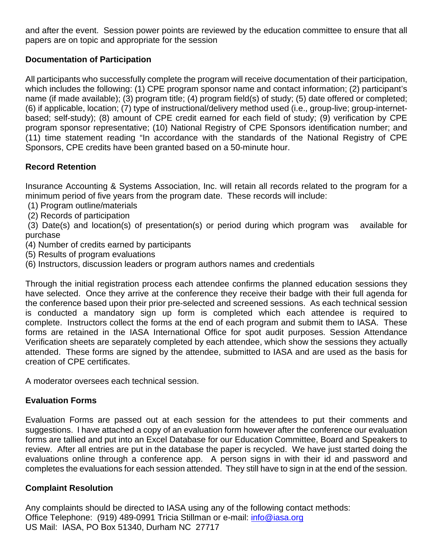and after the event. Session power points are reviewed by the education committee to ensure that all papers are on topic and appropriate for the session

## **Documentation of Participation**

All participants who successfully complete the program will receive documentation of their participation, which includes the following: (1) CPE program sponsor name and contact information; (2) participant's name (if made available); (3) program title; (4) program field(s) of study; (5) date offered or completed; (6) if applicable, location; (7) type of instructional/delivery method used (i.e., group-live; group-internetbased; self-study); (8) amount of CPE credit earned for each field of study; (9) verification by CPE program sponsor representative; (10) National Registry of CPE Sponsors identification number; and (11) time statement reading "In accordance with the standards of the National Registry of CPE Sponsors, CPE credits have been granted based on a 50-minute hour.

### **Record Retention**

Insurance Accounting & Systems Association, Inc. will retain all records related to the program for a minimum period of five years from the program date. These records will include:

- (1) Program outline/materials
- (2) Records of participation

(3) Date(s) and location(s) of presentation(s) or period during which program was available for purchase

- (4) Number of credits earned by participants
- (5) Results of program evaluations
- (6) Instructors, discussion leaders or program authors names and credentials

Through the initial registration process each attendee confirms the planned education sessions they have selected. Once they arrive at the conference they receive their badge with their full agenda for the conference based upon their prior pre-selected and screened sessions. As each technical session is conducted a mandatory sign up form is completed which each attendee is required to complete. Instructors collect the forms at the end of each program and submit them to IASA. These forms are retained in the IASA International Office for spot audit purposes. Session Attendance Verification sheets are separately completed by each attendee, which show the sessions they actually attended. These forms are signed by the attendee, submitted to IASA and are used as the basis for creation of CPE certificates.

A moderator oversees each technical session.

### **Evaluation Forms**

Evaluation Forms are passed out at each session for the attendees to put their comments and suggestions. I have attached a copy of an evaluation form however after the conference our evaluation forms are tallied and put into an Excel Database for our Education Committee, Board and Speakers to review. After all entries are put in the database the paper is recycled. We have just started doing the evaluations online through a conference app. A person signs in with their id and password and completes the evaluations for each session attended. They still have to sign in at the end of the session.

### **Complaint Resolution**

Any complaints should be directed to IASA using any of the following contact methods: Office Telephone: (919) 489-0991 Tricia Stillman or e-mail: *info@iasa.org* US Mail: IASA, PO Box 51340, Durham NC 27717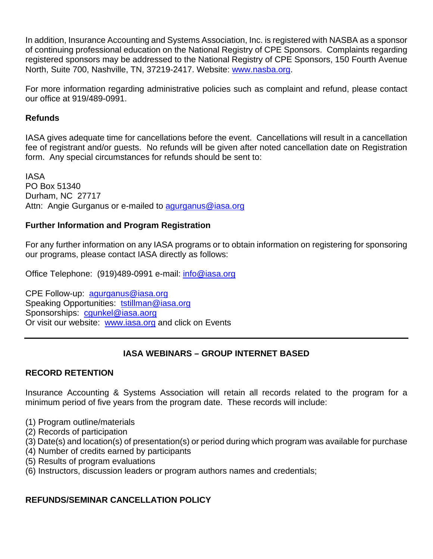In addition, Insurance Accounting and Systems Association, Inc. is registered with NASBA as a sponsor of continuing professional education on the National Registry of CPE Sponsors. Complaints regarding registered sponsors may be addressed to the National Registry of CPE Sponsors, 150 Fourth Avenue North, Suite 700, Nashville, TN, 37219-2417. Website: www.nasba.org.

For more information regarding administrative policies such as complaint and refund, please contact our office at 919/489-0991.

### **Refunds**

IASA gives adequate time for cancellations before the event. Cancellations will result in a cancellation fee of registrant and/or guests. No refunds will be given after noted cancellation date on Registration form. Any special circumstances for refunds should be sent to:

IASA PO Box 51340 Durham, NC 27717 Attn: Angie Gurganus or e-mailed to agurganus@iasa.org

### **Further Information and Program Registration**

For any further information on any IASA programs or to obtain information on registering for sponsoring our programs, please contact IASA directly as follows:

Office Telephone: (919)489-0991 e-mail: info@iasa.org

CPE Follow-up: agurganus@iasa.org Speaking Opportunities: tstillman@iasa.org Sponsorships: cgunkel@iasa.aorg Or visit our website: www.iasa.org and click on Events

# **IASA WEBINARS – GROUP INTERNET BASED**

# **RECORD RETENTION**

Insurance Accounting & Systems Association will retain all records related to the program for a minimum period of five years from the program date. These records will include:

- (1) Program outline/materials
- (2) Records of participation
- (3) Date(s) and location(s) of presentation(s) or period during which program was available for purchase
- (4) Number of credits earned by participants
- (5) Results of program evaluations
- (6) Instructors, discussion leaders or program authors names and credentials;

# **REFUNDS/SEMINAR CANCELLATION POLICY**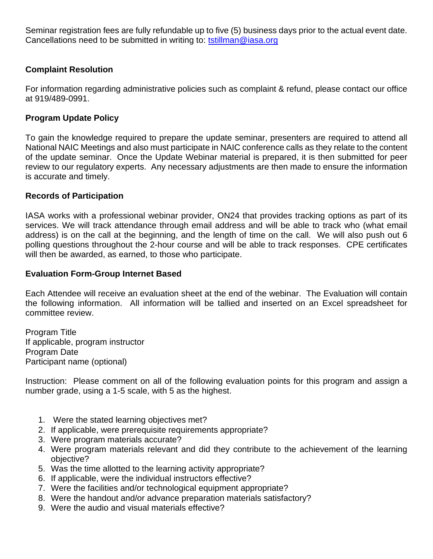Seminar registration fees are fully refundable up to five (5) business days prior to the actual event date. Cancellations need to be submitted in writing to: tstillman@iasa.org

### **Complaint Resolution**

For information regarding administrative policies such as complaint & refund, please contact our office at 919/489-0991.

### **Program Update Policy**

To gain the knowledge required to prepare the update seminar, presenters are required to attend all National NAIC Meetings and also must participate in NAIC conference calls as they relate to the content of the update seminar. Once the Update Webinar material is prepared, it is then submitted for peer review to our regulatory experts. Any necessary adjustments are then made to ensure the information is accurate and timely.

#### **Records of Participation**

IASA works with a professional webinar provider, ON24 that provides tracking options as part of its services. We will track attendance through email address and will be able to track who (what email address) is on the call at the beginning, and the length of time on the call. We will also push out 6 polling questions throughout the 2-hour course and will be able to track responses. CPE certificates will then be awarded, as earned, to those who participate.

#### **Evaluation Form-Group Internet Based**

Each Attendee will receive an evaluation sheet at the end of the webinar. The Evaluation will contain the following information. All information will be tallied and inserted on an Excel spreadsheet for committee review.

Program Title If applicable, program instructor Program Date Participant name (optional)

Instruction: Please comment on all of the following evaluation points for this program and assign a number grade, using a 1-5 scale, with 5 as the highest.

- 1. Were the stated learning objectives met?
- 2. If applicable, were prerequisite requirements appropriate?
- 3. Were program materials accurate?
- 4. Were program materials relevant and did they contribute to the achievement of the learning objective?
- 5. Was the time allotted to the learning activity appropriate?
- 6. If applicable, were the individual instructors effective?
- 7. Were the facilities and/or technological equipment appropriate?
- 8. Were the handout and/or advance preparation materials satisfactory?
- 9. Were the audio and visual materials effective?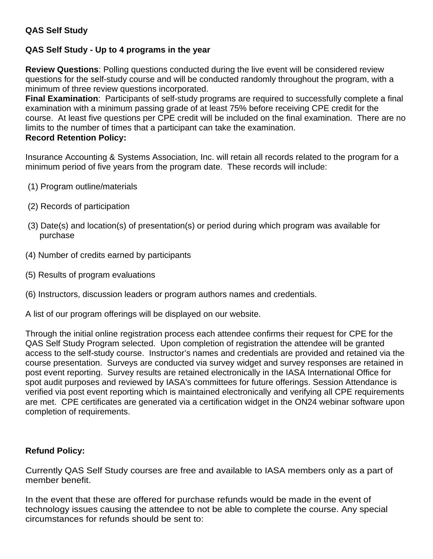## **QAS Self Study**

### **QAS Self Study - Up to 4 programs in the year**

**Review Questions**: Polling questions conducted during the live event will be considered review questions for the self-study course and will be conducted randomly throughout the program, with a minimum of three review questions incorporated.

**Final Examination**: Participants of self-study programs are required to successfully complete a final examination with a minimum passing grade of at least 75% before receiving CPE credit for the course. At least five questions per CPE credit will be included on the final examination. There are no limits to the number of times that a participant can take the examination.

### **Record Retention Policy:**

Insurance Accounting & Systems Association, Inc. will retain all records related to the program for a minimum period of five years from the program date. These records will include:

- (1) Program outline/materials
- (2) Records of participation
- (3) Date(s) and location(s) of presentation(s) or period during which program was available for purchase
- (4) Number of credits earned by participants
- (5) Results of program evaluations
- (6) Instructors, discussion leaders or program authors names and credentials.

A list of our program offerings will be displayed on our website.

Through the initial online registration process each attendee confirms their request for CPE for the QAS Self Study Program selected. Upon completion of registration the attendee will be granted access to the self-study course. Instructor's names and credentials are provided and retained via the course presentation. Surveys are conducted via survey widget and survey responses are retained in post event reporting. Survey results are retained electronically in the IASA International Office for spot audit purposes and reviewed by IASA's committees for future offerings. Session Attendance is verified via post event reporting which is maintained electronically and verifying all CPE requirements are met. CPE certificates are generated via a certification widget in the ON24 webinar software upon completion of requirements.

### **Refund Policy:**

Currently QAS Self Study courses are free and available to IASA members only as a part of member benefit.

In the event that these are offered for purchase refunds would be made in the event of technology issues causing the attendee to not be able to complete the course. Any special circumstances for refunds should be sent to: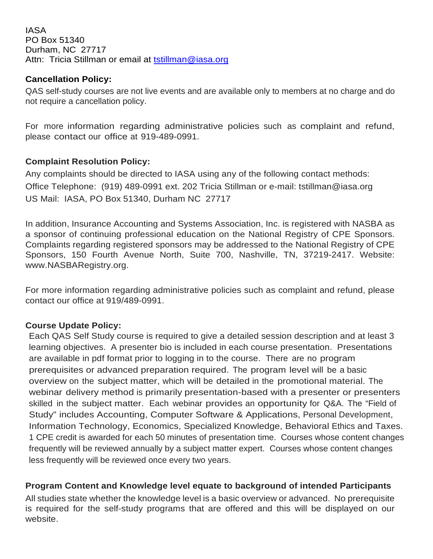IASA PO Box 51340 Durham, NC 27717 Attn: Tricia Stillman or email at tstillman@iasa.org

### **Cancellation Policy:**

QAS self-study courses are not live events and are available only to members at no charge and do not require a cancellation policy.

For more information regarding administrative policies such as complaint and refund, please contact our office at 919-489-0991.

## **Complaint Resolution Policy:**

Any complaints should be directed to IASA using any of the following contact methods: Office Telephone: (919) 489-0991 ext. 202 Tricia Stillman or e-mail: tstillman@iasa.org US Mail: IASA, PO Box 51340, Durham NC 27717

In addition, Insurance Accounting and Systems Association, Inc. is registered with NASBA as a sponsor of continuing professional education on the National Registry of CPE Sponsors. Complaints regarding registered sponsors may be addressed to the National Registry of CPE Sponsors, 150 Fourth Avenue North, Suite 700, Nashville, TN, 37219-2417. Website: www.NASBARegistry.org.

For more information regarding administrative policies such as complaint and refund, please contact our office at 919/489-0991.

# **Course Update Policy:**

Each QAS Self Study course is required to give a detailed session description and at least 3 learning objectives. A presenter bio is included in each course presentation. Presentations are available in pdf format prior to logging in to the course. There are no program prerequisites or advanced preparation required. The program level will be a basic overview on the subject matter, which will be detailed in the promotional material. The webinar delivery method is primarily presentation-based with a presenter or presenters skilled in the subject matter. Each webinar provides an opportunity for Q&A. The "Field of Study" includes Accounting, Computer Software & Applications, Personal Development, Information Technology, Economics, Specialized Knowledge, Behavioral Ethics and Taxes. 1 CPE credit is awarded for each 50 minutes of presentation time. Courses whose content changes frequently will be reviewed annually by a subject matter expert. Courses whose content changes less frequently will be reviewed once every two years.

### **Program Content and Knowledge level equate to background of intended Participants**

All studies state whether the knowledge level is a basic overview or advanced. No prerequisite is required for the self-study programs that are offered and this will be displayed on our website.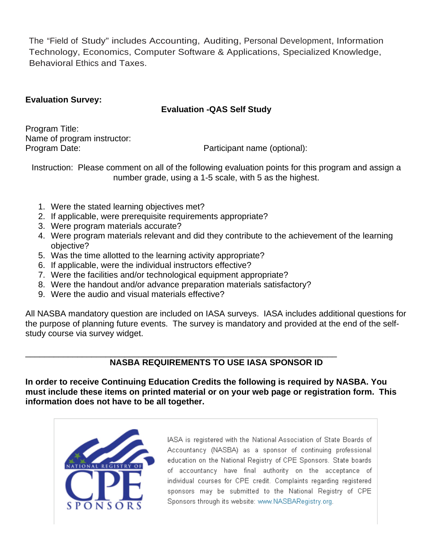The "Field of Study" includes Accounting, Auditing, Personal Development, Information Technology, Economics, Computer Software & Applications, Specialized Knowledge, Behavioral Ethics and Taxes.

### **Evaluation Survey:**

### **Evaluation -QAS Self Study**

Program Title: Name of program instructor:<br>Program Date:

Participant name (optional):

Instruction: Please comment on all of the following evaluation points for this program and assign a number grade, using a 1-5 scale, with 5 as the highest.

- 1. Were the stated learning objectives met?
- 2. If applicable, were prerequisite requirements appropriate?
- 3. Were program materials accurate?
- 4. Were program materials relevant and did they contribute to the achievement of the learning objective?
- 5. Was the time allotted to the learning activity appropriate?
- 6. If applicable, were the individual instructors effective?
- 7. Were the facilities and/or technological equipment appropriate?
- 8. Were the handout and/or advance preparation materials satisfactory?
- 9. Were the audio and visual materials effective?

All NASBA mandatory question are included on IASA surveys. IASA includes additional questions for the purpose of planning future events. The survey is mandatory and provided at the end of the selfstudy course via survey widget.

#### \_\_\_\_\_\_\_\_\_\_\_\_\_\_\_\_\_\_\_\_\_\_\_\_\_\_\_\_\_\_\_\_\_\_\_\_\_\_\_\_\_\_\_\_\_\_\_\_\_\_\_\_\_\_\_\_\_\_\_\_\_\_\_\_\_\_ **NASBA REQUIREMENTS TO USE IASA SPONSOR ID**

**In order to receive Continuing Education Credits the following is required by NASBA. You must include these items on printed material or on your web page or registration form. This information does not have to be all together.**



IASA is registered with the National Association of State Boards of Accountancy (NASBA) as a sponsor of continuing professional education on the National Registry of CPE Sponsors. State boards of accountancy have final authority on the acceptance of individual courses for CPE credit. Complaints regarding registered sponsors may be submitted to the National Registry of CPE Sponsors through its website: www.NASBARegistry.org.